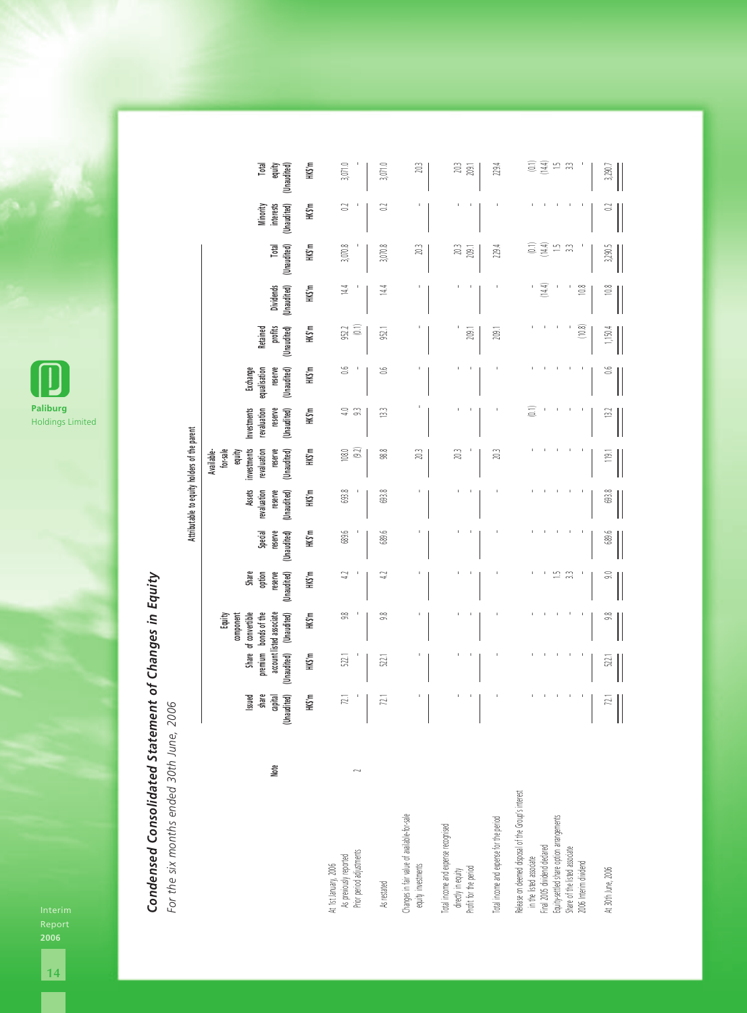

## **Condensed Consolidated Statement of Changes in Equity**<br>For the six months ended 30th June, 2006 *Condensed Consolidated Statement of Changes in Equity*

*For the six months ended 30th June, 2006*

**Attributable to equity holders of the parent**

Attributable to equity holders of the parent

|                                                                                                                                                                                                                                           |      | share<br>Issued      | premium bonds of the                    | Share of convertible<br>Equity<br>component | Share<br>option                       | Special                | <b>Assets</b><br>revaluation | for-sale<br>investments<br>revaluation<br>Available-<br>equity | Investments<br>revaluation    | equalisation<br>Exchange | Retained               |                                 |                                       | Minority                 | Total                                                                                      |
|-------------------------------------------------------------------------------------------------------------------------------------------------------------------------------------------------------------------------------------------|------|----------------------|-----------------------------------------|---------------------------------------------|---------------------------------------|------------------------|------------------------------|----------------------------------------------------------------|-------------------------------|--------------------------|------------------------|---------------------------------|---------------------------------------|--------------------------|--------------------------------------------------------------------------------------------|
|                                                                                                                                                                                                                                           | Note | capital<br>naudited) | account listed associate<br>(Unaudited) | (Unaudited)                                 | reserve<br>(Unaudited)                | reserve<br>(Unaudited) | reserve<br>(Unaudited)       | reserve<br>(Unaudited)                                         | reserve<br>(Unaudited)        | reserve<br>(Unaudited)   | profits<br>(Unaudited) | <b>Dividends</b><br>(Unaudited) | Total<br>(Unaudited)                  | interests<br>(Unaudited) | equity<br>(Unaudited)                                                                      |
|                                                                                                                                                                                                                                           |      | HKS'm                | HKS'm                                   | HKS'm                                       | HKS'm                                 | HK\$'m                 | HKS'm                        | HK\$'m                                                         | HKS'm                         | HKS'm                    | HKS'm                  | HKS'm                           | HKS'm                                 | HKS'm                    | HKS'm                                                                                      |
| As previously reported<br>Prior period adjustments<br>At 1st January, 2006                                                                                                                                                                |      | 72.1                 | 522.1                                   | $\frac{8}{5}$                               | ₽                                     | 689.6                  | 693.8                        | (9.2)<br>$108.0$                                               | $\mathbb{S}$<br>$\frac{1}{4}$ | Š                        | $\Xi$<br>952.2         | $\frac{44}{3}$                  | 3,070.8                               | 3                        | 3,071.0                                                                                    |
| As restated                                                                                                                                                                                                                               |      | 72.1                 | 522.1                                   | $\frac{8}{20}$                              | 5                                     | 689.6                  | 693.8                        | 98.8                                                           | $\mathbb{S}$                  | ă                        | 952.1                  | 4<br>≠                          | 3,070.8                               | 3                        | 3,071.0                                                                                    |
| Changes in fair value of available-for-sale<br>equity investments                                                                                                                                                                         |      |                      |                                         |                                             |                                       |                        |                              | 20.3                                                           |                               |                          |                        |                                 | 203                                   |                          | 203                                                                                        |
| Total income and expense recognised<br>directly in equity<br>Profit for the period                                                                                                                                                        |      |                      |                                         |                                             |                                       |                        |                              | 20.3                                                           |                               |                          | 209.1                  |                                 | 203<br>209.1                          |                          | 203<br>209.1                                                                               |
| Total income and expense for the period                                                                                                                                                                                                   |      |                      |                                         |                                             |                                       |                        |                              | 20.3                                                           |                               |                          | 209.1                  |                                 | 229.4                                 |                          | 229.4                                                                                      |
| Release on deemed disposal of the Group's interest<br>Equity-settled share option arrangements<br>in the listed associate<br>Final 2005 dividend declared<br>Share of the listed associate<br>2006 Interim dividend<br>At 30th June, 2006 |      | Ż.                   | 522.1                                   | 9.8                                         | 뜨<br>$\mathbb{R}^2$<br>$\mathfrak{g}$ | 689.6                  | 693.8                        | $\frac{1}{2}$                                                  | $\binom{1}{2}$<br>13.2        | S,                       | (10.8)<br>1,150.4      | (14.4)<br>10.8<br>$10.8$        | (144)<br>Ξ<br>$\mathbb{Z}$<br>3,290.5 | S                        | $\begin{array}{c} (14.4) \\ 1.5 \end{array}$<br>$\widehat{\Xi}$<br>$\mathbb{C}$<br>3,290.7 |

Interim Report **2006**